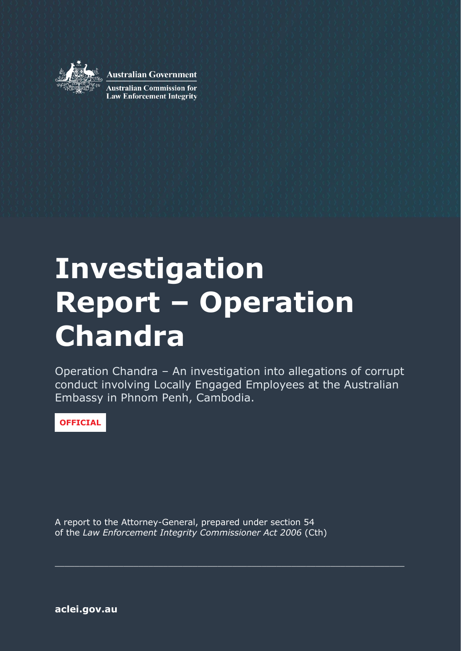

**Australian Government** 

**Australian Commission for Law Enforcement Integrity** 

# **Investigation Report – Operation Chandra**

Operation Chandra – An investigation into allegations of corrupt conduct involving Locally Engaged Employees at the Australian Embassy in Phnom Penh, Cambodia.

 $\_$  , and the contribution of the contribution of  $\mathcal{L}_1$  , and  $\mathcal{L}_2$  , and  $\mathcal{L}_3$  , and  $\mathcal{L}_4$  , and  $\mathcal{L}_5$  , and  $\mathcal{L}_6$  , and  $\mathcal{L}_7$  , and  $\mathcal{L}_8$  , and  $\mathcal{L}_7$  , and  $\mathcal{L}_8$  , and  $\mathcal{L}_8$  ,

**OFFICIAL**

A report to the Attorney-General, prepared under section 54 of the *Law Enforcement Integrity Commissioner Act 2006* (Cth)

**[aclei.gov.au](https://www.aclei.gov.au/)**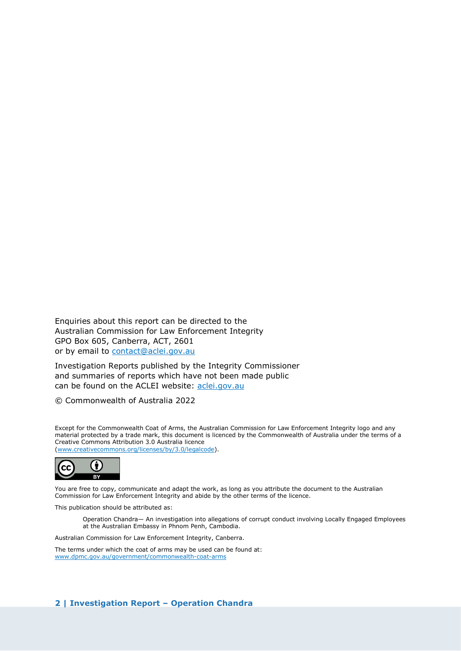Enquiries about this report can be directed to the Australian Commission for Law Enforcement Integrity GPO Box 605, Canberra, ACT, 2601 or by email to [contact@aclei.gov.au](mailto:contact@aclei.gov.au)

Investigation Reports published by the Integrity Commissioner and summaries of reports which have not been made public can be found on the ACLEI website: [aclei.gov.au](http://www.aclei.gov.au/)

© Commonwealth of Australia 2022

Except for the Commonwealth Coat of Arms, the Australian Commission for Law Enforcement Integrity logo and any material protected by a trade mark, this document is licenced by the Commonwealth of Australia under the terms of a Creative Commons Attribution 3.0 Australia licence [\(www.creativecommons.org/licenses/by/3.0/legalcode\)](http://www.creativecommons.org/licenses/by/3.0/legalcode).



You are free to copy, communicate and adapt the work, as long as you attribute the document to the Australian Commission for Law Enforcement Integrity and abide by the other terms of the licence.

This publication should be attributed as:

Operation Chandra— An investigation into allegations of corrupt conduct involving Locally Engaged Employees at the Australian Embassy in Phnom Penh, Cambodia.

Australian Commission for Law Enforcement Integrity, Canberra.

The terms under which the coat of arms may be used can be found at: [www.dpmc.gov.au/government/commonwealth-coat-arms](http://www.dpmc.gov.au/government/commonwealth-coat-arms)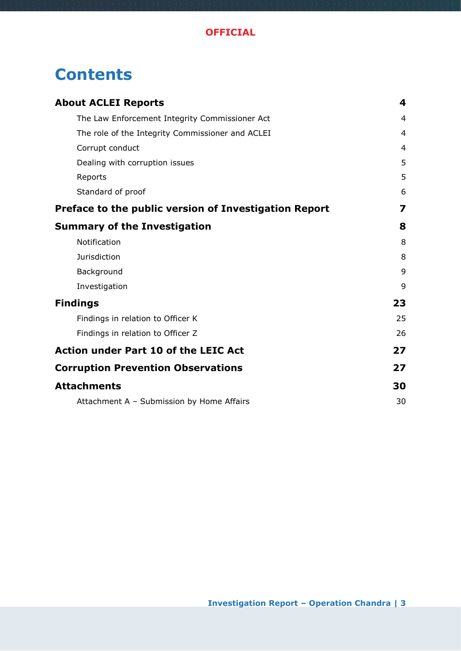# **Contents**

| <b>About ACLEI Reports</b>                            | 4              |
|-------------------------------------------------------|----------------|
| The Law Enforcement Integrity Commissioner Act        | $\overline{4}$ |
| The role of the Integrity Commissioner and ACLEI      | 4              |
| Corrupt conduct                                       | $\overline{4}$ |
| Dealing with corruption issues                        | 5              |
| Reports                                               | 5              |
| Standard of proof                                     | 6              |
| Preface to the public version of Investigation Report | 7              |
| <b>Summary of the Investigation</b>                   | 8              |
| Notification                                          | 8              |
| Jurisdiction                                          | 8              |
| Background                                            | 9              |
| Investigation                                         | 9              |
| <b>Findings</b>                                       | 23             |
| Findings in relation to Officer K                     | 25             |
| Findings in relation to Officer Z                     | 26             |
| <b>Action under Part 10 of the LEIC Act</b>           | 27             |
| <b>Corruption Prevention Observations</b>             | 27             |
| <b>Attachments</b>                                    | 30             |
| Attachment A - Submission by Home Affairs             | 30             |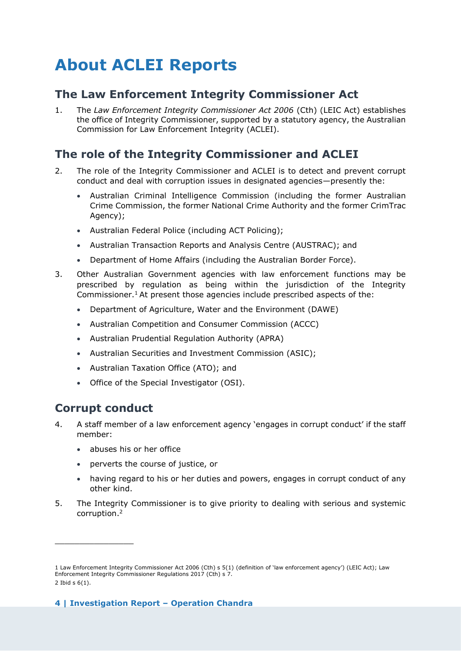# <span id="page-3-0"></span>**About ACLEI Reports**

# <span id="page-3-1"></span>**The Law Enforcement Integrity Commissioner Act**

1. The *Law Enforcement Integrity Commissioner Act 2006* (Cth) (LEIC Act) establishes the office of Integrity Commissioner, supported by a statutory agency, the Australian Commission for Law Enforcement Integrity (ACLEI).

# <span id="page-3-2"></span>**The role of the Integrity Commissioner and ACLEI**

- 2. The role of the Integrity Commissioner and ACLEI is to detect and prevent corrupt conduct and deal with corruption issues in designated agencies—presently the:
	- Australian Criminal Intelligence Commission (including the former Australian Crime Commission, the former National Crime Authority and the former CrimTrac Agency);
	- Australian Federal Police (including ACT Policing);
	- Australian Transaction Reports and Analysis Centre (AUSTRAC); and
	- Department of Home Affairs (including the Australian Border Force).
- 3. Other Australian Government agencies with law enforcement functions may be prescribed by regulation as being within the jurisdiction of the Integrity Commissioner.<sup>1</sup> At present those agencies include prescribed aspects of the:
	- Department of Agriculture, Water and the Environment (DAWE)
	- Australian Competition and Consumer Commission (ACCC)
	- Australian Prudential Regulation Authority (APRA)
	- Australian Securities and Investment Commission (ASIC);
	- Australian Taxation Office (ATO); and
	- Office of the Special Investigator (OSI).

### <span id="page-3-3"></span>**Corrupt conduct**

- 4. A staff member of a law enforcement agency 'engages in corrupt conduct' if the staff member:
	- abuses his or her office
	- perverts the course of justice, or
	- having regard to his or her duties and powers, engages in corrupt conduct of any other kind.
- 5. The Integrity Commissioner is to give priority to dealing with serious and systemic corruption.<sup>2</sup>

<sup>1</sup> Law Enforcement Integrity Commissioner Act 2006 (Cth) s 5(1) (definition of 'law enforcement agency') (LEIC Act); Law Enforcement Integrity Commissioner Regulations 2017 (Cth) s 7. 2 Ibid s 6(1).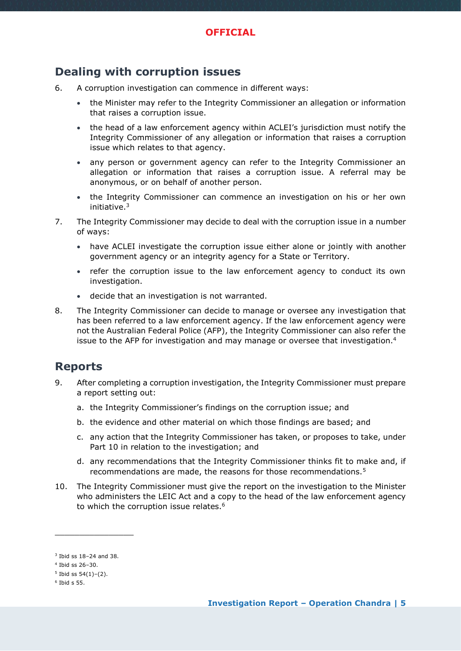### <span id="page-4-0"></span>**Dealing with corruption issues**

- 6. A corruption investigation can commence in different ways:
	- the Minister may refer to the Integrity Commissioner an allegation or information that raises a corruption issue.
	- the head of a law enforcement agency within ACLEI's jurisdiction must notify the Integrity Commissioner of any allegation or information that raises a corruption issue which relates to that agency.
	- any person or government agency can refer to the Integrity Commissioner an allegation or information that raises a corruption issue. A referral may be anonymous, or on behalf of another person.
	- the Integrity Commissioner can commence an investigation on his or her own initiative.<sup>3</sup>
- 7. The Integrity Commissioner may decide to deal with the corruption issue in a number of ways:
	- have ACLEI investigate the corruption issue either alone or jointly with another government agency or an integrity agency for a State or Territory.
	- refer the corruption issue to the law enforcement agency to conduct its own investigation.
	- decide that an investigation is not warranted.
- 8. The Integrity Commissioner can decide to manage or oversee any investigation that has been referred to a law enforcement agency. If the law enforcement agency were not the Australian Federal Police (AFP), the Integrity Commissioner can also refer the issue to the AFP for investigation and may manage or oversee that investigation.<sup>4</sup>

### <span id="page-4-1"></span>**Reports**

- 9. After completing a corruption investigation, the Integrity Commissioner must prepare a report setting out:
	- a. the Integrity Commissioner's findings on the corruption issue; and
	- b. the evidence and other material on which those findings are based; and
	- c. any action that the Integrity Commissioner has taken, or proposes to take, under Part 10 in relation to the investigation; and
	- d. any recommendations that the Integrity Commissioner thinks fit to make and, if recommendations are made, the reasons for those recommendations.<sup>5</sup>
- 10. The Integrity Commissioner must give the report on the investigation to the Minister who administers the LEIC Act and a copy to the head of the law enforcement agency to which the corruption issue relates.<sup>6</sup>

<sup>3</sup> Ibid ss 18–24 and 38.

<sup>4</sup> Ibid ss 26–30.

 $5$  Ibid ss  $54(1)-(2)$ .

<sup>6</sup> Ibid s 55.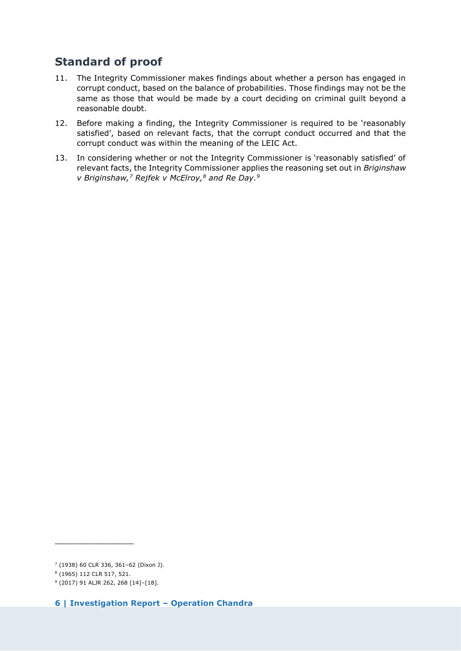# <span id="page-5-0"></span>**Standard of proof**

- 11. The Integrity Commissioner makes findings about whether a person has engaged in corrupt conduct, based on the balance of probabilities. Those findings may not be the same as those that would be made by a court deciding on criminal guilt beyond a reasonable doubt.
- 12. Before making a finding, the Integrity Commissioner is required to be 'reasonably satisfied', based on relevant facts, that the corrupt conduct occurred and that the corrupt conduct was within the meaning of the LEIC Act.
- 13. In considering whether or not the Integrity Commissioner is 'reasonably satisfied' of relevant facts, the Integrity Commissioner applies the reasoning set out in *Briginshaw v Briginshaw,<sup>7</sup> Rejfek v McElroy,<sup>8</sup> and Re Day.<sup>9</sup>*

<sup>7</sup> (1938) 60 CLR 336, 361–62 (Dixon J).

<sup>8</sup> (1965) 112 CLR 517, 521.

<sup>9</sup> (2017) 91 ALJR 262, 268 [14]–[18].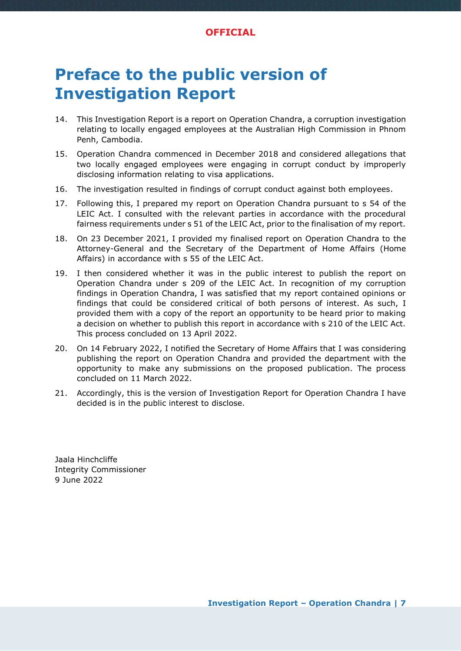#### **OFFICIAL**

# <span id="page-6-0"></span>**Preface to the public version of Investigation Report**

- 14. This Investigation Report is a report on Operation Chandra, a corruption investigation relating to locally engaged employees at the Australian High Commission in Phnom Penh, Cambodia.
- 15. Operation Chandra commenced in December 2018 and considered allegations that two locally engaged employees were engaging in corrupt conduct by improperly disclosing information relating to visa applications.
- 16. The investigation resulted in findings of corrupt conduct against both employees.
- 17. Following this, I prepared my report on Operation Chandra pursuant to s 54 of the LEIC Act. I consulted with the relevant parties in accordance with the procedural fairness requirements under s 51 of the LEIC Act, prior to the finalisation of my report.
- 18. On 23 December 2021, I provided my finalised report on Operation Chandra to the Attorney-General and the Secretary of the Department of Home Affairs (Home Affairs) in accordance with s 55 of the LEIC Act.
- 19. I then considered whether it was in the public interest to publish the report on Operation Chandra under s 209 of the LEIC Act. In recognition of my corruption findings in Operation Chandra, I was satisfied that my report contained opinions or findings that could be considered critical of both persons of interest. As such, I provided them with a copy of the report an opportunity to be heard prior to making a decision on whether to publish this report in accordance with s 210 of the LEIC Act. This process concluded on 13 April 2022.
- 20. On 14 February 2022, I notified the Secretary of Home Affairs that I was considering publishing the report on Operation Chandra and provided the department with the opportunity to make any submissions on the proposed publication. The process concluded on 11 March 2022.
- 21. Accordingly, this is the version of Investigation Report for Operation Chandra I have decided is in the public interest to disclose.

Jaala Hinchcliffe Integrity Commissioner 9 June 2022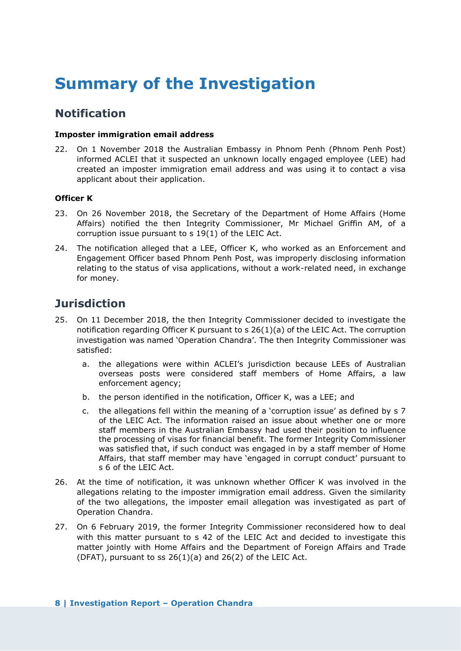# <span id="page-7-0"></span>**Summary of the Investigation**

### <span id="page-7-1"></span>**Notification**

#### **Imposter immigration email address**

22. On 1 November 2018 the Australian Embassy in Phnom Penh (Phnom Penh Post) informed ACLEI that it suspected an unknown locally engaged employee (LEE) had created an imposter immigration email address and was using it to contact a visa applicant about their application.

#### **Officer K**

- 23. On 26 November 2018, the Secretary of the Department of Home Affairs (Home Affairs) notified the then Integrity Commissioner, Mr Michael Griffin AM, of a corruption issue pursuant to s 19(1) of the LEIC Act.
- 24. The notification alleged that a LEE, Officer K, who worked as an Enforcement and Engagement Officer based Phnom Penh Post, was improperly disclosing information relating to the status of visa applications, without a work-related need, in exchange for money.

### <span id="page-7-2"></span>**Jurisdiction**

- 25. On 11 December 2018, the then Integrity Commissioner decided to investigate the notification regarding Officer K pursuant to s 26(1)(a) of the LEIC Act. The corruption investigation was named 'Operation Chandra'. The then Integrity Commissioner was satisfied:
	- a. the allegations were within ACLEI's jurisdiction because LEEs of Australian overseas posts were considered staff members of Home Affairs, a law enforcement agency;
	- b. the person identified in the notification, Officer K, was a LEE; and
	- c. the allegations fell within the meaning of a 'corruption issue' as defined by s 7 of the LEIC Act. The information raised an issue about whether one or more staff members in the Australian Embassy had used their position to influence the processing of visas for financial benefit. The former Integrity Commissioner was satisfied that, if such conduct was engaged in by a staff member of Home Affairs, that staff member may have 'engaged in corrupt conduct' pursuant to s 6 of the LEIC Act.
- 26. At the time of notification, it was unknown whether Officer K was involved in the allegations relating to the imposter immigration email address. Given the similarity of the two allegations, the imposter email allegation was investigated as part of Operation Chandra.
- 27. On 6 February 2019, the former Integrity Commissioner reconsidered how to deal with this matter pursuant to s 42 of the LEIC Act and decided to investigate this matter jointly with Home Affairs and the Department of Foreign Affairs and Trade (DFAT), pursuant to ss  $26(1)(a)$  and  $26(2)$  of the LEIC Act.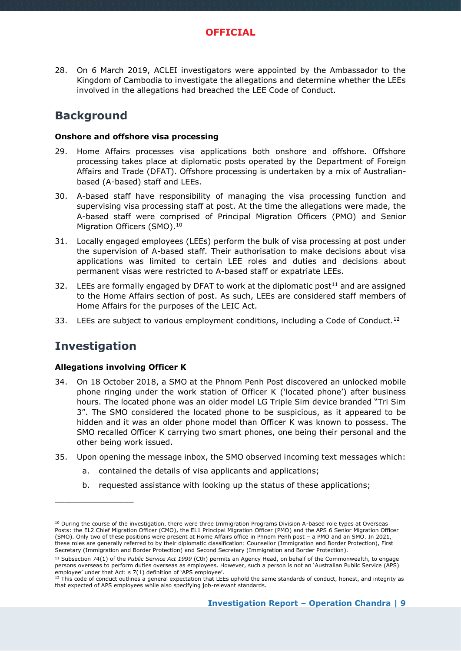28. On 6 March 2019, ACLEI investigators were appointed by the Ambassador to the Kingdom of Cambodia to investigate the allegations and determine whether the LEEs involved in the allegations had breached the LEE Code of Conduct.

# <span id="page-8-0"></span>**Background**

#### **Onshore and offshore visa processing**

- 29. Home Affairs processes visa applications both onshore and offshore. Offshore processing takes place at diplomatic posts operated by the Department of Foreign Affairs and Trade (DFAT). Offshore processing is undertaken by a mix of Australianbased (A-based) staff and LEEs.
- 30. A-based staff have responsibility of managing the visa processing function and supervising visa processing staff at post. At the time the allegations were made, the A-based staff were comprised of Principal Migration Officers (PMO) and Senior Migration Officers (SMO).<sup>10</sup>
- 31. Locally engaged employees (LEEs) perform the bulk of visa processing at post under the supervision of A-based staff. Their authorisation to make decisions about visa applications was limited to certain LEE roles and duties and decisions about permanent visas were restricted to A-based staff or expatriate LEEs.
- 32. LEEs are formally engaged by DFAT to work at the diplomatic post<sup>11</sup> and are assigned to the Home Affairs section of post. As such, LEEs are considered staff members of Home Affairs for the purposes of the LEIC Act.
- <span id="page-8-1"></span>33. LEEs are subject to various employment conditions, including a Code of Conduct.<sup>12</sup>

# **Investigation**

 $\_$ 

#### **Allegations involving Officer K**

- 34. On 18 October 2018, a SMO at the Phnom Penh Post discovered an unlocked mobile phone ringing under the work station of Officer K ('located phone') after business hours. The located phone was an older model LG Triple Sim device branded "Tri Sim 3". The SMO considered the located phone to be suspicious, as it appeared to be hidden and it was an older phone model than Officer K was known to possess. The SMO recalled Officer K carrying two smart phones, one being their personal and the other being work issued.
- 35. Upon opening the message inbox, the SMO observed incoming text messages which:
	- a. contained the details of visa applicants and applications;
	- b. requested assistance with looking up the status of these applications;

<sup>&</sup>lt;sup>10</sup> Durina the course of the investigation, there were three Immigration Programs Division A-based role types at Overseas Posts: the EL2 Chief Migration Officer (CMO), the EL1 Principal Migration Officer (PMO) and the APS 6 Senior Migration Officer (SMO). Only two of these positions were present at Home Affairs office in Phnom Penh post – a PMO and an SMO. In 2021, these roles are generally referred to by their diplomatic classification: Counsellor (Immigration and Border Protection), First Secretary (Immigration and Border Protection) and Second Secretary (Immigration and Border Protection).

<sup>11</sup> Subsection 74(1) of the *Public Service Act 1999* (Cth) permits an Agency Head, on behalf of the Commonwealth, to engage persons overseas to perform duties overseas as employees. However, such a person is not an 'Australian Public Service (APS) employee' under that Act: s 7(1) definition of 'APS employee'.

<sup>&</sup>lt;sup>12</sup> This code of conduct outlines a general expectation that LEEs uphold the same standards of conduct, honest, and integrity as that expected of APS employees while also specifying job-relevant standards.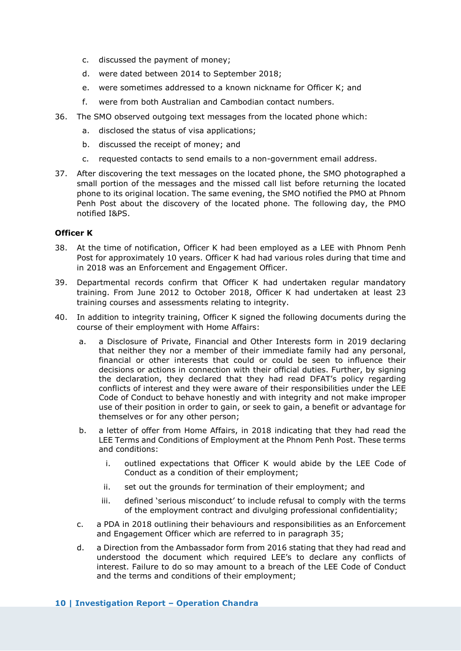- c. discussed the payment of money;
- d. were dated between 2014 to September 2018;
- e. were sometimes addressed to a known nickname for Officer K; and
- f. were from both Australian and Cambodian contact numbers.
- 36. The SMO observed outgoing text messages from the located phone which:
	- a. disclosed the status of visa applications;
	- b. discussed the receipt of money; and
	- c. requested contacts to send emails to a non-government email address.
- 37. After discovering the text messages on the located phone, the SMO photographed a small portion of the messages and the missed call list before returning the located phone to its original location. The same evening, the SMO notified the PMO at Phnom Penh Post about the discovery of the located phone. The following day, the PMO notified I&PS.

#### **Officer K**

- 38. At the time of notification, Officer K had been employed as a LEE with Phnom Penh Post for approximately 10 years. Officer K had had various roles during that time and in 2018 was an Enforcement and Engagement Officer.
- 39. Departmental records confirm that Officer K had undertaken regular mandatory training. From June 2012 to October 2018, Officer K had undertaken at least 23 training courses and assessments relating to integrity.
- 40. In addition to integrity training, Officer K signed the following documents during the course of their employment with Home Affairs:
	- a. a Disclosure of Private, Financial and Other Interests form in 2019 declaring that neither they nor a member of their immediate family had any personal, financial or other interests that could or could be seen to influence their decisions or actions in connection with their official duties. Further, by signing the declaration, they declared that they had read DFAT's policy regarding conflicts of interest and they were aware of their responsibilities under the LEE Code of Conduct to behave honestly and with integrity and not make improper use of their position in order to gain, or seek to gain, a benefit or advantage for themselves or for any other person;
	- b. a letter of offer from Home Affairs, in 2018 indicating that they had read the LEE Terms and Conditions of Employment at the Phnom Penh Post. These terms and conditions:
		- i. outlined expectations that Officer K would abide by the LEE Code of Conduct as a condition of their employment;
		- ii. set out the grounds for termination of their employment; and
		- iii. defined 'serious misconduct' to include refusal to comply with the terms of the employment contract and divulging professional confidentiality;
	- c. a PDA in 2018 outlining their behaviours and responsibilities as an Enforcement and Engagement Officer which are referred to in paragraph 35;
	- d. a Direction from the Ambassador form from 2016 stating that they had read and understood the document which required LEE's to declare any conflicts of interest. Failure to do so may amount to a breach of the LEE Code of Conduct and the terms and conditions of their employment;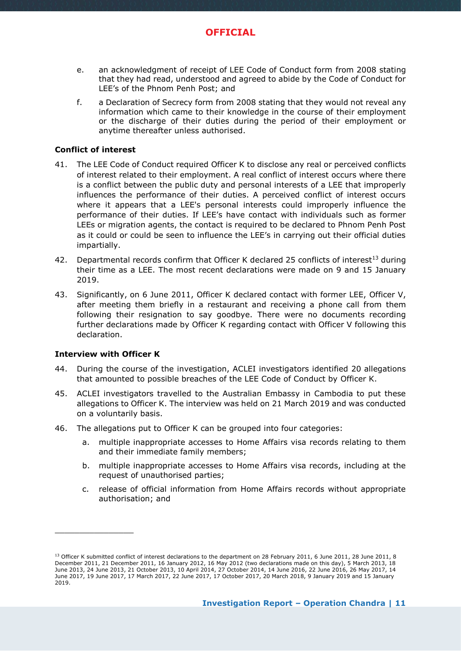- e. an acknowledgment of receipt of LEE Code of Conduct form from 2008 stating that they had read, understood and agreed to abide by the Code of Conduct for LEE's of the Phnom Penh Post; and
- f. a Declaration of Secrecy form from 2008 stating that they would not reveal any information which came to their knowledge in the course of their employment or the discharge of their duties during the period of their employment or anytime thereafter unless authorised.

#### **Conflict of interest**

- 41. The LEE Code of Conduct required Officer K to disclose any real or perceived conflicts of interest related to their employment. A real conflict of interest occurs where there is a conflict between the public duty and personal interests of a LEE that improperly influences the performance of their duties. A perceived conflict of interest occurs where it appears that a LEE's personal interests could improperly influence the performance of their duties. If LEE's have contact with individuals such as former LEEs or migration agents, the contact is required to be declared to Phnom Penh Post as it could or could be seen to influence the LEE's in carrying out their official duties impartially.
- 42. Departmental records confirm that Officer K declared 25 conflicts of interest<sup>13</sup> during their time as a LEE. The most recent declarations were made on 9 and 15 January 2019.
- 43. Significantly, on 6 June 2011, Officer K declared contact with former LEE, Officer V, after meeting them briefly in a restaurant and receiving a phone call from them following their resignation to say goodbye. There were no documents recording further declarations made by Officer K regarding contact with Officer V following this declaration.

#### **Interview with Officer K**

- 44. During the course of the investigation, ACLEI investigators identified 20 allegations that amounted to possible breaches of the LEE Code of Conduct by Officer K.
- 45. ACLEI investigators travelled to the Australian Embassy in Cambodia to put these allegations to Officer K. The interview was held on 21 March 2019 and was conducted on a voluntarily basis.
- 46. The allegations put to Officer K can be grouped into four categories:
	- a. multiple inappropriate accesses to Home Affairs visa records relating to them and their immediate family members;
	- b. multiple inappropriate accesses to Home Affairs visa records, including at the request of unauthorised parties;
	- c. release of official information from Home Affairs records without appropriate authorisation; and

<sup>13</sup> Officer K submitted conflict of interest declarations to the department on 28 February 2011, 6 June 2011, 28 June 2011, 8 December 2011, 21 December 2011, 16 January 2012, 16 May 2012 (two declarations made on this day), 5 March 2013, 18 June 2013, 24 June 2013, 21 October 2013, 10 April 2014, 27 October 2014, 14 June 2016, 22 June 2016, 26 May 2017, 14 June 2017, 19 June 2017, 17 March 2017, 22 June 2017, 17 October 2017, 20 March 2018, 9 January 2019 and 15 January 2019.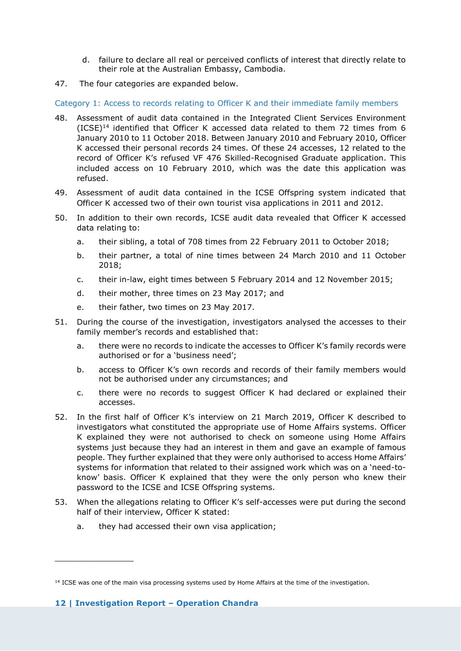- d. failure to declare all real or perceived conflicts of interest that directly relate to their role at the Australian Embassy, Cambodia.
- 47. The four categories are expanded below.

Category 1: Access to records relating to Officer K and their immediate family members

- 48. Assessment of audit data contained in the Integrated Client Services Environment  $(ICSE)^{14}$  identified that Officer K accessed data related to them 72 times from 6 January 2010 to 11 October 2018. Between January 2010 and February 2010, Officer K accessed their personal records 24 times. Of these 24 accesses, 12 related to the record of Officer K's refused VF 476 Skilled-Recognised Graduate application. This included access on 10 February 2010, which was the date this application was refused.
- 49. Assessment of audit data contained in the ICSE Offspring system indicated that Officer K accessed two of their own tourist visa applications in 2011 and 2012.
- 50. In addition to their own records, ICSE audit data revealed that Officer K accessed data relating to:
	- a. their sibling, a total of 708 times from 22 February 2011 to October 2018;
	- b. their partner, a total of nine times between 24 March 2010 and 11 October 2018;
	- c. their in-law, eight times between 5 February 2014 and 12 November 2015;
	- d. their mother, three times on 23 May 2017; and
	- e. their father, two times on 23 May 2017.
- 51. During the course of the investigation, investigators analysed the accesses to their family member's records and established that:
	- a. there were no records to indicate the accesses to Officer K's family records were authorised or for a 'business need';
	- b. access to Officer K's own records and records of their family members would not be authorised under any circumstances; and
	- c. there were no records to suggest Officer K had declared or explained their accesses.
- 52. In the first half of Officer K's interview on 21 March 2019, Officer K described to investigators what constituted the appropriate use of Home Affairs systems. Officer K explained they were not authorised to check on someone using Home Affairs systems just because they had an interest in them and gave an example of famous people. They further explained that they were only authorised to access Home Affairs' systems for information that related to their assigned work which was on a 'need-toknow' basis. Officer K explained that they were the only person who knew their password to the ICSE and ICSE Offspring systems.
- 53. When the allegations relating to Officer K's self-accesses were put during the second half of their interview, Officer K stated:
	- a. they had accessed their own visa application;

<sup>&</sup>lt;sup>14</sup> ICSE was one of the main visa processing systems used by Home Affairs at the time of the investigation.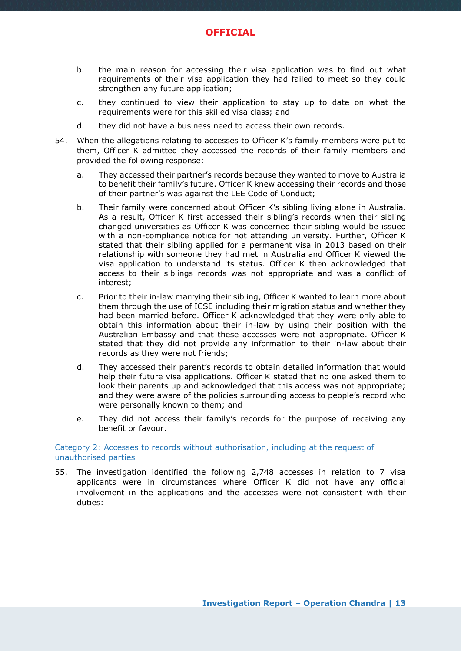

- b. the main reason for accessing their visa application was to find out what requirements of their visa application they had failed to meet so they could strengthen any future application;
- c. they continued to view their application to stay up to date on what the requirements were for this skilled visa class; and
- d. they did not have a business need to access their own records.
- 54. When the allegations relating to accesses to Officer K's family members were put to them, Officer K admitted they accessed the records of their family members and provided the following response:
	- a. They accessed their partner's records because they wanted to move to Australia to benefit their family's future. Officer K knew accessing their records and those of their partner's was against the LEE Code of Conduct;
	- b. Their family were concerned about Officer K's sibling living alone in Australia. As a result, Officer K first accessed their sibling's records when their sibling changed universities as Officer K was concerned their sibling would be issued with a non-compliance notice for not attending university. Further, Officer K stated that their sibling applied for a permanent visa in 2013 based on their relationship with someone they had met in Australia and Officer K viewed the visa application to understand its status. Officer K then acknowledged that access to their siblings records was not appropriate and was a conflict of interest;
	- c. Prior to their in-law marrying their sibling, Officer K wanted to learn more about them through the use of ICSE including their migration status and whether they had been married before. Officer K acknowledged that they were only able to obtain this information about their in-law by using their position with the Australian Embassy and that these accesses were not appropriate. Officer K stated that they did not provide any information to their in-law about their records as they were not friends;
	- d. They accessed their parent's records to obtain detailed information that would help their future visa applications. Officer K stated that no one asked them to look their parents up and acknowledged that this access was not appropriate; and they were aware of the policies surrounding access to people's record who were personally known to them; and
	- e. They did not access their family's records for the purpose of receiving any benefit or favour.

#### Category 2: Accesses to records without authorisation, including at the request of unauthorised parties

55. The investigation identified the following 2,748 accesses in relation to 7 visa applicants were in circumstances where Officer K did not have any official involvement in the applications and the accesses were not consistent with their duties: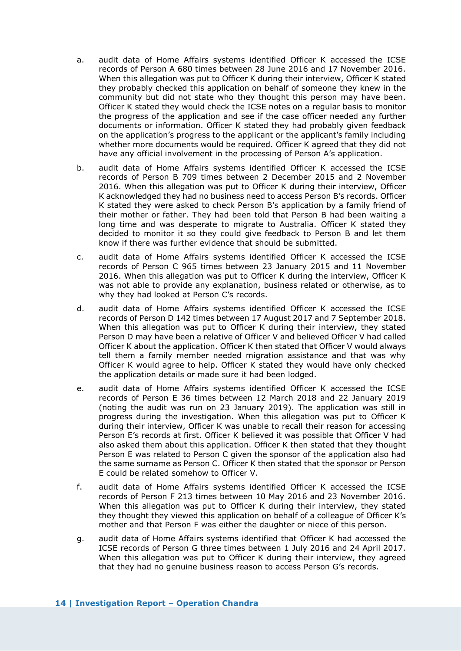- a. audit data of Home Affairs systems identified Officer K accessed the ICSE records of Person A 680 times between 28 June 2016 and 17 November 2016. When this allegation was put to Officer K during their interview, Officer K stated they probably checked this application on behalf of someone they knew in the community but did not state who they thought this person may have been. Officer K stated they would check the ICSE notes on a regular basis to monitor the progress of the application and see if the case officer needed any further documents or information. Officer K stated they had probably given feedback on the application's progress to the applicant or the applicant's family including whether more documents would be required. Officer K agreed that they did not have any official involvement in the processing of Person A's application.
- b. audit data of Home Affairs systems identified Officer K accessed the ICSE records of Person B 709 times between 2 December 2015 and 2 November 2016. When this allegation was put to Officer K during their interview, Officer K acknowledged they had no business need to access Person B's records. Officer K stated they were asked to check Person B's application by a family friend of their mother or father. They had been told that Person B had been waiting a long time and was desperate to migrate to Australia. Officer K stated they decided to monitor it so they could give feedback to Person B and let them know if there was further evidence that should be submitted.
- c. audit data of Home Affairs systems identified Officer K accessed the ICSE records of Person C 965 times between 23 January 2015 and 11 November 2016. When this allegation was put to Officer K during the interview, Officer K was not able to provide any explanation, business related or otherwise, as to why they had looked at Person C's records.
- d. audit data of Home Affairs systems identified Officer K accessed the ICSE records of Person D 142 times between 17 August 2017 and 7 September 2018. When this allegation was put to Officer K during their interview, they stated Person D may have been a relative of Officer V and believed Officer V had called Officer K about the application. Officer K then stated that Officer V would always tell them a family member needed migration assistance and that was why Officer K would agree to help. Officer K stated they would have only checked the application details or made sure it had been lodged.
- e. audit data of Home Affairs systems identified Officer K accessed the ICSE records of Person E 36 times between 12 March 2018 and 22 January 2019 (noting the audit was run on 23 January 2019). The application was still in progress during the investigation. When this allegation was put to Officer K during their interview, Officer K was unable to recall their reason for accessing Person E's records at first. Officer K believed it was possible that Officer V had also asked them about this application. Officer K then stated that they thought Person E was related to Person C given the sponsor of the application also had the same surname as Person C. Officer K then stated that the sponsor or Person E could be related somehow to Officer V.
- f. audit data of Home Affairs systems identified Officer K accessed the ICSE records of Person F 213 times between 10 May 2016 and 23 November 2016. When this allegation was put to Officer K during their interview, they stated they thought they viewed this application on behalf of a colleague of Officer K's mother and that Person F was either the daughter or niece of this person.
- g. audit data of Home Affairs systems identified that Officer K had accessed the ICSE records of Person G three times between 1 July 2016 and 24 April 2017. When this allegation was put to Officer K during their interview, they agreed that they had no genuine business reason to access Person G's records.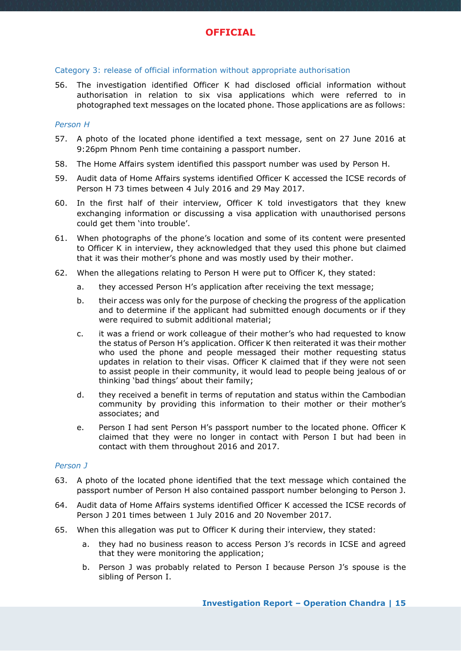#### Category 3: release of official information without appropriate authorisation

56. The investigation identified Officer K had disclosed official information without authorisation in relation to six visa applications which were referred to in photographed text messages on the located phone. Those applications are as follows:

#### *Person H*

- 57. A photo of the located phone identified a text message, sent on 27 June 2016 at 9:26pm Phnom Penh time containing a passport number.
- 58. The Home Affairs system identified this passport number was used by Person H.
- 59. Audit data of Home Affairs systems identified Officer K accessed the ICSE records of Person H 73 times between 4 July 2016 and 29 May 2017.
- 60. In the first half of their interview, Officer K told investigators that they knew exchanging information or discussing a visa application with unauthorised persons could get them 'into trouble'.
- 61. When photographs of the phone's location and some of its content were presented to Officer K in interview, they acknowledged that they used this phone but claimed that it was their mother's phone and was mostly used by their mother.
- 62. When the allegations relating to Person H were put to Officer K, they stated:
	- a. they accessed Person H's application after receiving the text message;
	- b. their access was only for the purpose of checking the progress of the application and to determine if the applicant had submitted enough documents or if they were required to submit additional material;
	- c. it was a friend or work colleague of their mother's who had requested to know the status of Person H's application. Officer K then reiterated it was their mother who used the phone and people messaged their mother requesting status updates in relation to their visas. Officer K claimed that if they were not seen to assist people in their community, it would lead to people being jealous of or thinking 'bad things' about their family;
	- d. they received a benefit in terms of reputation and status within the Cambodian community by providing this information to their mother or their mother's associates; and
	- e. Person I had sent Person H's passport number to the located phone. Officer K claimed that they were no longer in contact with Person I but had been in contact with them throughout 2016 and 2017.

#### *Person J*

- 63. A photo of the located phone identified that the text message which contained the passport number of Person H also contained passport number belonging to Person J.
- 64. Audit data of Home Affairs systems identified Officer K accessed the ICSE records of Person J 201 times between 1 July 2016 and 20 November 2017.
- 65. When this allegation was put to Officer K during their interview, they stated:
	- a. they had no business reason to access Person J's records in ICSE and agreed that they were monitoring the application;
	- b. Person J was probably related to Person I because Person J's spouse is the sibling of Person I.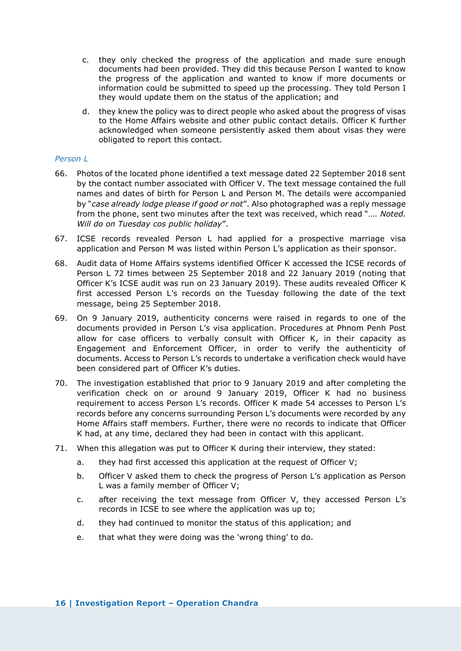- c. they only checked the progress of the application and made sure enough documents had been provided. They did this because Person I wanted to know the progress of the application and wanted to know if more documents or information could be submitted to speed up the processing. They told Person I they would update them on the status of the application; and
- d. they knew the policy was to direct people who asked about the progress of visas to the Home Affairs website and other public contact details. Officer K further acknowledged when someone persistently asked them about visas they were obligated to report this contact.

#### *Person L*

- 66. Photos of the located phone identified a text message dated 22 September 2018 sent by the contact number associated with Officer V. The text message contained the full names and dates of birth for Person L and Person M. The details were accompanied by "*case already lodge please if good or not*". Also photographed was a reply message from the phone, sent two minutes after the text was received, which read "*…. Noted. Will do on Tuesday cos public holiday*".
- 67. ICSE records revealed Person L had applied for a prospective marriage visa application and Person M was listed within Person L's application as their sponsor.
- 68. Audit data of Home Affairs systems identified Officer K accessed the ICSE records of Person L 72 times between 25 September 2018 and 22 January 2019 (noting that Officer K's ICSE audit was run on 23 January 2019). These audits revealed Officer K first accessed Person L's records on the Tuesday following the date of the text message, being 25 September 2018.
- 69. On 9 January 2019, authenticity concerns were raised in regards to one of the documents provided in Person L's visa application. Procedures at Phnom Penh Post allow for case officers to verbally consult with Officer K, in their capacity as Engagement and Enforcement Officer, in order to verify the authenticity of documents. Access to Person L's records to undertake a verification check would have been considered part of Officer K's duties.
- 70. The investigation established that prior to 9 January 2019 and after completing the verification check on or around 9 January 2019, Officer K had no business requirement to access Person L's records. Officer K made 54 accesses to Person L's records before any concerns surrounding Person L's documents were recorded by any Home Affairs staff members. Further, there were no records to indicate that Officer K had, at any time, declared they had been in contact with this applicant.
- 71. When this allegation was put to Officer K during their interview, they stated:
	- a. they had first accessed this application at the request of Officer V;
	- b. Officer V asked them to check the progress of Person L's application as Person L was a family member of Officer V;
	- c. after receiving the text message from Officer V, they accessed Person L's records in ICSE to see where the application was up to;
	- d. they had continued to monitor the status of this application; and
	- e. that what they were doing was the 'wrong thing' to do.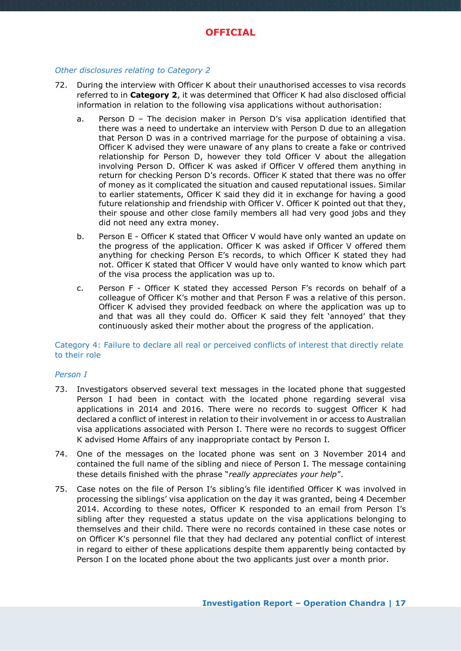#### *Other disclosures relating to Category 2*

- 72. During the interview with Officer K about their unauthorised accesses to visa records referred to in **Category 2**, it was determined that Officer K had also disclosed official information in relation to the following visa applications without authorisation:
	- a. Person D The decision maker in Person D's visa application identified that there was a need to undertake an interview with Person D due to an allegation that Person D was in a contrived marriage for the purpose of obtaining a visa. Officer K advised they were unaware of any plans to create a fake or contrived relationship for Person D, however they told Officer V about the allegation involving Person D. Officer K was asked if Officer V offered them anything in return for checking Person D's records. Officer K stated that there was no offer of money as it complicated the situation and caused reputational issues. Similar to earlier statements, Officer K said they did it in exchange for having a good future relationship and friendship with Officer V. Officer K pointed out that they, their spouse and other close family members all had very good jobs and they did not need any extra money.
	- b. Person E Officer K stated that Officer V would have only wanted an update on the progress of the application. Officer K was asked if Officer V offered them anything for checking Person E's records, to which Officer K stated they had not. Officer K stated that Officer V would have only wanted to know which part of the visa process the application was up to.
	- c. Person F Officer K stated they accessed Person F's records on behalf of a colleague of Officer K's mother and that Person F was a relative of this person. Officer K advised they provided feedback on where the application was up to and that was all they could do. Officer K said they felt 'annoyed' that they continuously asked their mother about the progress of the application.

Category 4: Failure to declare all real or perceived conflicts of interest that directly relate to their role

#### *Person I*

- 73. Investigators observed several text messages in the located phone that suggested Person I had been in contact with the located phone regarding several visa applications in 2014 and 2016. There were no records to suggest Officer K had declared a conflict of interest in relation to their involvement in or access to Australian visa applications associated with Person I. There were no records to suggest Officer K advised Home Affairs of any inappropriate contact by Person I.
- 74. One of the messages on the located phone was sent on 3 November 2014 and contained the full name of the sibling and niece of Person I. The message containing these details finished with the phrase "*really appreciates your help*".
- 75. Case notes on the file of Person I's sibling's file identified Officer K was involved in processing the siblings' visa application on the day it was granted, being 4 December 2014. According to these notes, Officer K responded to an email from Person I's sibling after they requested a status update on the visa applications belonging to themselves and their child. There were no records contained in these case notes or on Officer K's personnel file that they had declared any potential conflict of interest in regard to either of these applications despite them apparently being contacted by Person I on the located phone about the two applicants just over a month prior.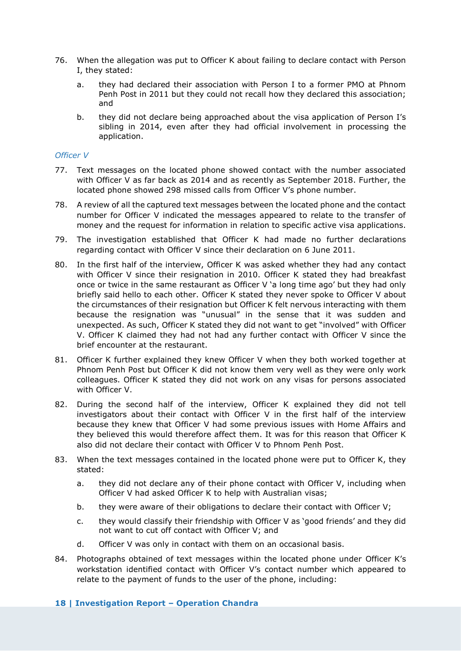- 76. When the allegation was put to Officer K about failing to declare contact with Person I, they stated:
	- a. they had declared their association with Person I to a former PMO at Phnom Penh Post in 2011 but they could not recall how they declared this association; and
	- b. they did not declare being approached about the visa application of Person I's sibling in 2014, even after they had official involvement in processing the application.

#### *Officer V*

- 77. Text messages on the located phone showed contact with the number associated with Officer V as far back as 2014 and as recently as September 2018. Further, the located phone showed 298 missed calls from Officer V's phone number.
- 78. A review of all the captured text messages between the located phone and the contact number for Officer V indicated the messages appeared to relate to the transfer of money and the request for information in relation to specific active visa applications.
- 79. The investigation established that Officer K had made no further declarations regarding contact with Officer V since their declaration on 6 June 2011.
- 80. In the first half of the interview, Officer K was asked whether they had any contact with Officer V since their resignation in 2010. Officer K stated they had breakfast once or twice in the same restaurant as Officer V 'a long time ago' but they had only briefly said hello to each other. Officer K stated they never spoke to Officer V about the circumstances of their resignation but Officer K felt nervous interacting with them because the resignation was "unusual" in the sense that it was sudden and unexpected. As such, Officer K stated they did not want to get "involved" with Officer V. Officer K claimed they had not had any further contact with Officer V since the brief encounter at the restaurant.
- 81. Officer K further explained they knew Officer V when they both worked together at Phnom Penh Post but Officer K did not know them very well as they were only work colleagues. Officer K stated they did not work on any visas for persons associated with Officer V.
- 82. During the second half of the interview, Officer K explained they did not tell investigators about their contact with Officer V in the first half of the interview because they knew that Officer V had some previous issues with Home Affairs and they believed this would therefore affect them. It was for this reason that Officer K also did not declare their contact with Officer V to Phnom Penh Post.
- 83. When the text messages contained in the located phone were put to Officer K, they stated:
	- a. they did not declare any of their phone contact with Officer V, including when Officer V had asked Officer K to help with Australian visas;
	- b. they were aware of their obligations to declare their contact with Officer V;
	- c. they would classify their friendship with Officer V as 'good friends' and they did not want to cut off contact with Officer V; and
	- d. Officer V was only in contact with them on an occasional basis.
- 84. Photographs obtained of text messages within the located phone under Officer K's workstation identified contact with Officer V's contact number which appeared to relate to the payment of funds to the user of the phone, including:

#### **18 | Investigation Report – Operation Chandra**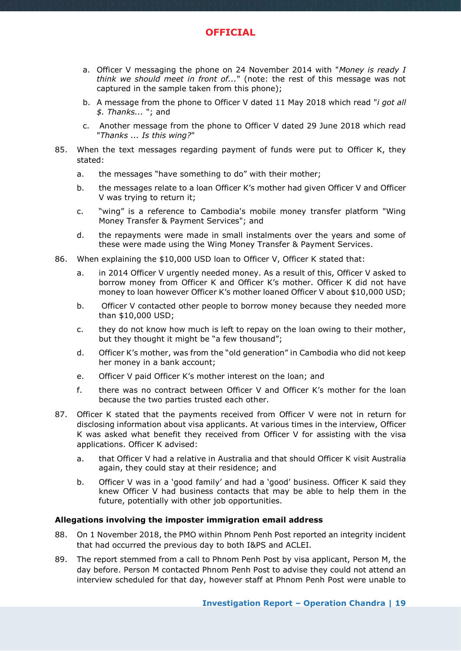

- a. Officer V messaging the phone on 24 November 2014 with "*Money is ready I think we should meet in front of...*" (note: the rest of this message was not captured in the sample taken from this phone);
- b. A message from the phone to Officer V dated 11 May 2018 which read "*i got all \$. Thanks...* "; and
- c. Another message from the phone to Officer V dated 29 June 2018 which read "*Thanks ... Is this wing?*"
- 85. When the text messages regarding payment of funds were put to Officer K, they stated:
	- a. the messages "have something to do" with their mother;
	- b. the messages relate to a loan Officer K's mother had given Officer V and Officer V was trying to return it;
	- c. "wing" is a reference to Cambodia's mobile money transfer platform "Wing Money Transfer & Payment Services"; and
	- d. the repayments were made in small instalments over the years and some of these were made using the Wing Money Transfer & Payment Services.
- 86. When explaining the \$10,000 USD loan to Officer V, Officer K stated that:
	- a. in 2014 Officer V urgently needed money. As a result of this, Officer V asked to borrow money from Officer K and Officer K's mother. Officer K did not have money to loan however Officer K's mother loaned Officer V about \$10,000 USD;
	- b. Officer V contacted other people to borrow money because they needed more than \$10,000 USD;
	- c. they do not know how much is left to repay on the loan owing to their mother, but they thought it might be "a few thousand";
	- d. Officer K's mother, was from the "old generation" in Cambodia who did not keep her money in a bank account;
	- e. Officer V paid Officer K's mother interest on the loan; and
	- f. there was no contract between Officer V and Officer K's mother for the loan because the two parties trusted each other.
- 87. Officer K stated that the payments received from Officer V were not in return for disclosing information about visa applicants. At various times in the interview, Officer K was asked what benefit they received from Officer V for assisting with the visa applications. Officer K advised:
	- a. that Officer V had a relative in Australia and that should Officer K visit Australia again, they could stay at their residence; and
	- b. Officer V was in a 'good family' and had a 'good' business. Officer K said they knew Officer V had business contacts that may be able to help them in the future, potentially with other job opportunities.

#### **Allegations involving the imposter immigration email address**

- 88. On 1 November 2018, the PMO within Phnom Penh Post reported an integrity incident that had occurred the previous day to both I&PS and ACLEI.
- 89. The report stemmed from a call to Phnom Penh Post by visa applicant, Person M, the day before. Person M contacted Phnom Penh Post to advise they could not attend an interview scheduled for that day, however staff at Phnom Penh Post were unable to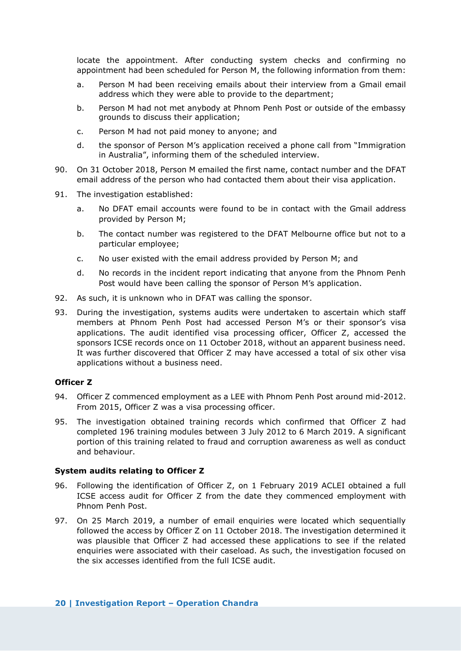locate the appointment. After conducting system checks and confirming no appointment had been scheduled for Person M, the following information from them:

- a. Person M had been receiving emails about their interview from a Gmail email address which they were able to provide to the department;
- b. Person M had not met anybody at Phnom Penh Post or outside of the embassy grounds to discuss their application;
- c. Person M had not paid money to anyone; and
- d. the sponsor of Person M's application received a phone call from "Immigration in Australia", informing them of the scheduled interview.
- 90. On 31 October 2018, Person M emailed the first name, contact number and the DFAT email address of the person who had contacted them about their visa application.
- 91. The investigation established:
	- a. No DFAT email accounts were found to be in contact with the Gmail address provided by Person M;
	- b. The contact number was registered to the DFAT Melbourne office but not to a particular employee;
	- c. No user existed with the email address provided by Person M; and
	- d. No records in the incident report indicating that anyone from the Phnom Penh Post would have been calling the sponsor of Person M's application.
- 92. As such, it is unknown who in DFAT was calling the sponsor.
- 93. During the investigation, systems audits were undertaken to ascertain which staff members at Phnom Penh Post had accessed Person M's or their sponsor's visa applications. The audit identified visa processing officer, Officer Z, accessed the sponsors ICSE records once on 11 October 2018, without an apparent business need. It was further discovered that Officer Z may have accessed a total of six other visa applications without a business need.

#### **Officer Z**

- 94. Officer Z commenced employment as a LEE with Phnom Penh Post around mid-2012. From 2015, Officer Z was a visa processing officer.
- 95. The investigation obtained training records which confirmed that Officer Z had completed 196 training modules between 3 July 2012 to 6 March 2019. A significant portion of this training related to fraud and corruption awareness as well as conduct and behaviour.

#### **System audits relating to Officer Z**

- 96. Following the identification of Officer Z, on 1 February 2019 ACLEI obtained a full ICSE access audit for Officer Z from the date they commenced employment with Phnom Penh Post.
- 97. On 25 March 2019, a number of email enquiries were located which sequentially followed the access by Officer Z on 11 October 2018. The investigation determined it was plausible that Officer Z had accessed these applications to see if the related enquiries were associated with their caseload. As such, the investigation focused on the six accesses identified from the full ICSE audit.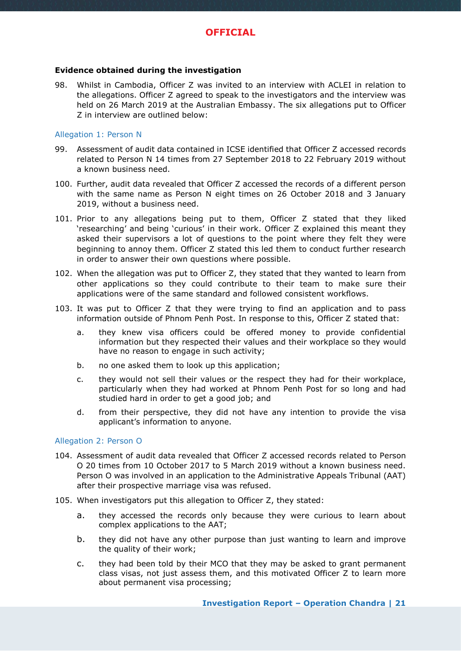

#### **Evidence obtained during the investigation**

98. Whilst in Cambodia, Officer Z was invited to an interview with ACLEI in relation to the allegations. Officer Z agreed to speak to the investigators and the interview was held on 26 March 2019 at the Australian Embassy. The six allegations put to Officer Z in interview are outlined below:

#### Allegation 1: Person N

- 99. Assessment of audit data contained in ICSE identified that Officer Z accessed records related to Person N 14 times from 27 September 2018 to 22 February 2019 without a known business need.
- 100. Further, audit data revealed that Officer Z accessed the records of a different person with the same name as Person N eight times on 26 October 2018 and 3 January 2019, without a business need.
- 101. Prior to any allegations being put to them, Officer Z stated that they liked 'researching' and being 'curious' in their work. Officer Z explained this meant they asked their supervisors a lot of questions to the point where they felt they were beginning to annoy them. Officer Z stated this led them to conduct further research in order to answer their own questions where possible.
- 102. When the allegation was put to Officer Z, they stated that they wanted to learn from other applications so they could contribute to their team to make sure their applications were of the same standard and followed consistent workflows.
- 103. It was put to Officer Z that they were trying to find an application and to pass information outside of Phnom Penh Post. In response to this, Officer Z stated that:
	- a. they knew visa officers could be offered money to provide confidential information but they respected their values and their workplace so they would have no reason to engage in such activity;
	- b. no one asked them to look up this application;
	- c. they would not sell their values or the respect they had for their workplace, particularly when they had worked at Phnom Penh Post for so long and had studied hard in order to get a good job; and
	- d. from their perspective, they did not have any intention to provide the visa applicant's information to anyone.

#### Allegation 2: Person O

- 104. Assessment of audit data revealed that Officer Z accessed records related to Person O 20 times from 10 October 2017 to 5 March 2019 without a known business need. Person O was involved in an application to the Administrative Appeals Tribunal (AAT) after their prospective marriage visa was refused.
- 105. When investigators put this allegation to Officer Z, they stated:
	- a. they accessed the records only because they were curious to learn about complex applications to the AAT;
	- b. they did not have any other purpose than just wanting to learn and improve the quality of their work;
	- c. they had been told by their MCO that they may be asked to grant permanent class visas, not just assess them, and this motivated Officer Z to learn more about permanent visa processing;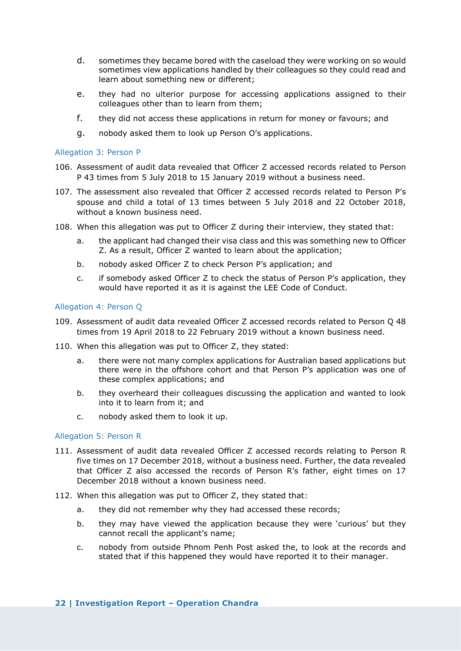- d. sometimes they became bored with the caseload they were working on so would sometimes view applications handled by their colleagues so they could read and learn about something new or different;
- e. they had no ulterior purpose for accessing applications assigned to their colleagues other than to learn from them;
- f. they did not access these applications in return for money or favours; and
- g. nobody asked them to look up Person O's applications.

#### Allegation 3: Person P

- 106. Assessment of audit data revealed that Officer Z accessed records related to Person P 43 times from 5 July 2018 to 15 January 2019 without a business need.
- 107. The assessment also revealed that Officer Z accessed records related to Person P's spouse and child a total of 13 times between 5 July 2018 and 22 October 2018, without a known business need.
- 108. When this allegation was put to Officer Z during their interview, they stated that:
	- a. the applicant had changed their visa class and this was something new to Officer Z. As a result, Officer Z wanted to learn about the application;
	- b. nobody asked Officer Z to check Person P's application; and
	- c. if somebody asked Officer Z to check the status of Person P's application, they would have reported it as it is against the LEE Code of Conduct.

#### Allegation 4: Person Q

- 109. Assessment of audit data revealed Officer Z accessed records related to Person Q 48 times from 19 April 2018 to 22 February 2019 without a known business need.
- 110. When this allegation was put to Officer Z, they stated:
	- a. there were not many complex applications for Australian based applications but there were in the offshore cohort and that Person P's application was one of these complex applications; and
	- b. they overheard their colleagues discussing the application and wanted to look into it to learn from it; and
	- c. nobody asked them to look it up.

#### Allegation 5: Person R

- 111. Assessment of audit data revealed Officer Z accessed records relating to Person R five times on 17 December 2018, without a business need. Further, the data revealed that Officer Z also accessed the records of Person R's father, eight times on 17 December 2018 without a known business need.
- 112. When this allegation was put to Officer Z, they stated that:
	- a. they did not remember why they had accessed these records;
	- b. they may have viewed the application because they were 'curious' but they cannot recall the applicant's name;
	- c. nobody from outside Phnom Penh Post asked the, to look at the records and stated that if this happened they would have reported it to their manager.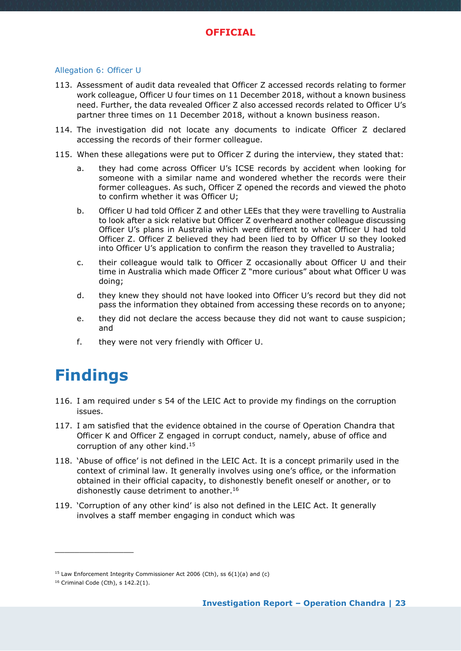#### Allegation 6: Officer U

- 113. Assessment of audit data revealed that Officer Z accessed records relating to former work colleague, Officer U four times on 11 December 2018, without a known business need. Further, the data revealed Officer Z also accessed records related to Officer U's partner three times on 11 December 2018, without a known business reason.
- 114. The investigation did not locate any documents to indicate Officer Z declared accessing the records of their former colleague.
- 115. When these allegations were put to Officer Z during the interview, they stated that:
	- a. they had come across Officer U's ICSE records by accident when looking for someone with a similar name and wondered whether the records were their former colleagues. As such, Officer Z opened the records and viewed the photo to confirm whether it was Officer U;
	- b. Officer U had told Officer Z and other LEEs that they were travelling to Australia to look after a sick relative but Officer Z overheard another colleague discussing Officer U's plans in Australia which were different to what Officer U had told Officer Z. Officer Z believed they had been lied to by Officer U so they looked into Officer U's application to confirm the reason they travelled to Australia;
	- c. their colleague would talk to Officer Z occasionally about Officer U and their time in Australia which made Officer Z "more curious" about what Officer U was doing;
	- d. they knew they should not have looked into Officer U's record but they did not pass the information they obtained from accessing these records on to anyone;
	- e. they did not declare the access because they did not want to cause suspicion; and
	- f. they were not very friendly with Officer U.

# <span id="page-22-0"></span>**Findings**

- 116. I am required under s 54 of the LEIC Act to provide my findings on the corruption issues.
- 117. I am satisfied that the evidence obtained in the course of Operation Chandra that Officer K and Officer Z engaged in corrupt conduct, namely, abuse of office and corruption of any other kind.<sup>15</sup>
- 118. 'Abuse of office' is not defined in the LEIC Act. It is a concept primarily used in the context of criminal law. It generally involves using one's office, or the information obtained in their official capacity, to dishonestly benefit oneself or another, or to dishonestly cause detriment to another.<sup>16</sup>
- 119. 'Corruption of any other kind' is also not defined in the LEIC Act. It generally involves a staff member engaging in conduct which was

<sup>&</sup>lt;sup>15</sup> Law Enforcement Integrity Commissioner Act 2006 (Cth), ss  $6(1)(a)$  and (c)

<sup>16</sup> Criminal Code (Cth), s 142.2(1).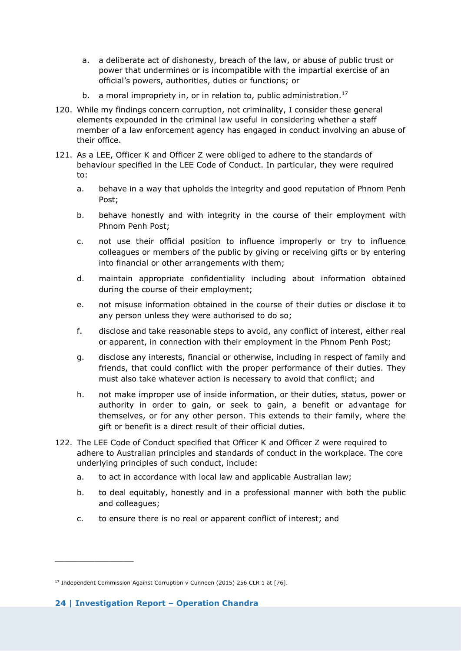- a. a deliberate act of dishonesty, breach of the law, or abuse of public trust or power that undermines or is incompatible with the impartial exercise of an official's powers, authorities, duties or functions; or
- b. a moral impropriety in, or in relation to, public administration.<sup>17</sup>
- 120. While my findings concern corruption, not criminality, I consider these general elements expounded in the criminal law useful in considering whether a staff member of a law enforcement agency has engaged in conduct involving an abuse of their office.
- 121. As a LEE, Officer K and Officer Z were obliged to adhere to the standards of behaviour specified in the LEE Code of Conduct. In particular, they were required to:
	- a. behave in a way that upholds the integrity and good reputation of Phnom Penh Post;
	- b. behave honestly and with integrity in the course of their employment with Phnom Penh Post;
	- c. not use their official position to influence improperly or try to influence colleagues or members of the public by giving or receiving gifts or by entering into financial or other arrangements with them;
	- d. maintain appropriate confidentiality including about information obtained during the course of their employment;
	- e. not misuse information obtained in the course of their duties or disclose it to any person unless they were authorised to do so;
	- f. disclose and take reasonable steps to avoid, any conflict of interest, either real or apparent, in connection with their employment in the Phnom Penh Post;
	- g. disclose any interests, financial or otherwise, including in respect of family and friends, that could conflict with the proper performance of their duties. They must also take whatever action is necessary to avoid that conflict; and
	- h. not make improper use of inside information, or their duties, status, power or authority in order to gain, or seek to gain, a benefit or advantage for themselves, or for any other person. This extends to their family, where the gift or benefit is a direct result of their official duties.
- 122. The LEE Code of Conduct specified that Officer K and Officer Z were required to adhere to Australian principles and standards of conduct in the workplace. The core underlying principles of such conduct, include:
	- a. to act in accordance with local law and applicable Australian law;
	- b. to deal equitably, honestly and in a professional manner with both the public and colleagues;
	- c. to ensure there is no real or apparent conflict of interest; and

<sup>&</sup>lt;sup>17</sup> Independent Commission Against Corruption v Cunneen (2015) 256 CLR 1 at [76].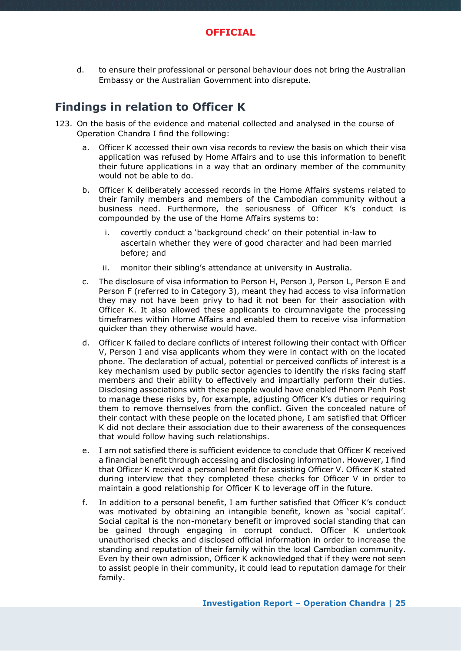#### **OFFICIAL**

d. to ensure their professional or personal behaviour does not bring the Australian Embassy or the Australian Government into disrepute.

### <span id="page-24-0"></span>**Findings in relation to Officer K**

- 123. On the basis of the evidence and material collected and analysed in the course of Operation Chandra I find the following:
	- a. Officer K accessed their own visa records to review the basis on which their visa application was refused by Home Affairs and to use this information to benefit their future applications in a way that an ordinary member of the community would not be able to do.
	- b. Officer K deliberately accessed records in the Home Affairs systems related to their family members and members of the Cambodian community without a business need. Furthermore, the seriousness of Officer K's conduct is compounded by the use of the Home Affairs systems to:
		- i. covertly conduct a 'background check' on their potential in-law to ascertain whether they were of good character and had been married before; and
		- ii. monitor their sibling's attendance at university in Australia.
	- c. The disclosure of visa information to Person H, Person J, Person L, Person E and Person F (referred to in Category 3), meant they had access to visa information they may not have been privy to had it not been for their association with Officer K. It also allowed these applicants to circumnavigate the processing timeframes within Home Affairs and enabled them to receive visa information quicker than they otherwise would have.
	- d. Officer K failed to declare conflicts of interest following their contact with Officer V, Person I and visa applicants whom they were in contact with on the located phone. The declaration of actual, potential or perceived conflicts of interest is a key mechanism used by public sector agencies to identify the risks facing staff members and their ability to effectively and impartially perform their duties. Disclosing associations with these people would have enabled Phnom Penh Post to manage these risks by, for example, adjusting Officer K's duties or requiring them to remove themselves from the conflict. Given the concealed nature of their contact with these people on the located phone, I am satisfied that Officer K did not declare their association due to their awareness of the consequences that would follow having such relationships.
	- e. I am not satisfied there is sufficient evidence to conclude that Officer K received a financial benefit through accessing and disclosing information. However, I find that Officer K received a personal benefit for assisting Officer V. Officer K stated during interview that they completed these checks for Officer V in order to maintain a good relationship for Officer K to leverage off in the future.
	- f. In addition to a personal benefit, I am further satisfied that Officer K's conduct was motivated by obtaining an intangible benefit, known as 'social capital'. Social capital is the non-monetary benefit or improved social standing that can be gained through engaging in corrupt conduct. Officer K undertook unauthorised checks and disclosed official information in order to increase the standing and reputation of their family within the local Cambodian community. Even by their own admission, Officer K acknowledged that if they were not seen to assist people in their community, it could lead to reputation damage for their family.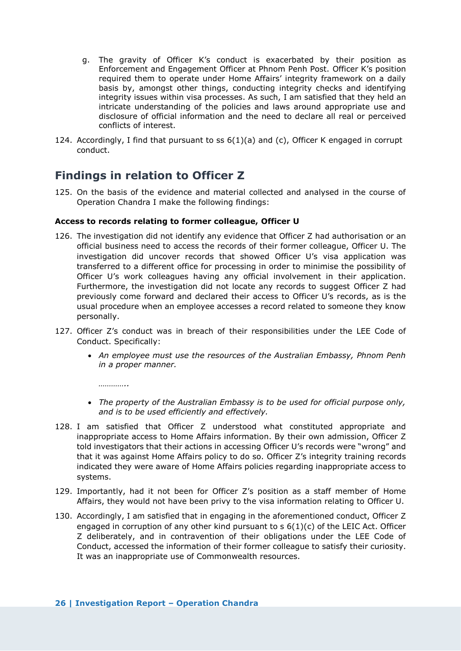- g. The gravity of Officer K's conduct is exacerbated by their position as Enforcement and Engagement Officer at Phnom Penh Post. Officer K's position required them to operate under Home Affairs' integrity framework on a daily basis by, amongst other things, conducting integrity checks and identifying integrity issues within visa processes. As such, I am satisfied that they held an intricate understanding of the policies and laws around appropriate use and disclosure of official information and the need to declare all real or perceived conflicts of interest.
- 124. Accordingly, I find that pursuant to  $ss 6(1)(a)$  and  $(c)$ , Officer K engaged in corrupt conduct.

### <span id="page-25-0"></span>**Findings in relation to Officer Z**

*…………..*

125. On the basis of the evidence and material collected and analysed in the course of Operation Chandra I make the following findings:

#### **Access to records relating to former colleague, Officer U**

- 126. The investigation did not identify any evidence that Officer Z had authorisation or an official business need to access the records of their former colleague, Officer U. The investigation did uncover records that showed Officer U's visa application was transferred to a different office for processing in order to minimise the possibility of Officer U's work colleagues having any official involvement in their application. Furthermore, the investigation did not locate any records to suggest Officer Z had previously come forward and declared their access to Officer U's records, as is the usual procedure when an employee accesses a record related to someone they know personally.
- 127. Officer Z's conduct was in breach of their responsibilities under the LEE Code of Conduct. Specifically:
	- *An employee must use the resources of the Australian Embassy, Phnom Penh in a proper manner.*
	- *The property of the Australian Embassy is to be used for official purpose only, and is to be used efficiently and effectively.*
- 128. I am satisfied that Officer Z understood what constituted appropriate and inappropriate access to Home Affairs information. By their own admission, Officer Z told investigators that their actions in accessing Officer U's records were "wrong" and that it was against Home Affairs policy to do so. Officer Z's integrity training records indicated they were aware of Home Affairs policies regarding inappropriate access to systems.
- 129. Importantly, had it not been for Officer Z's position as a staff member of Home Affairs, they would not have been privy to the visa information relating to Officer U.
- 130. Accordingly, I am satisfied that in engaging in the aforementioned conduct, Officer Z engaged in corruption of any other kind pursuant to  $s$  6(1)(c) of the LEIC Act. Officer Z deliberately, and in contravention of their obligations under the LEE Code of Conduct, accessed the information of their former colleague to satisfy their curiosity. It was an inappropriate use of Commonwealth resources.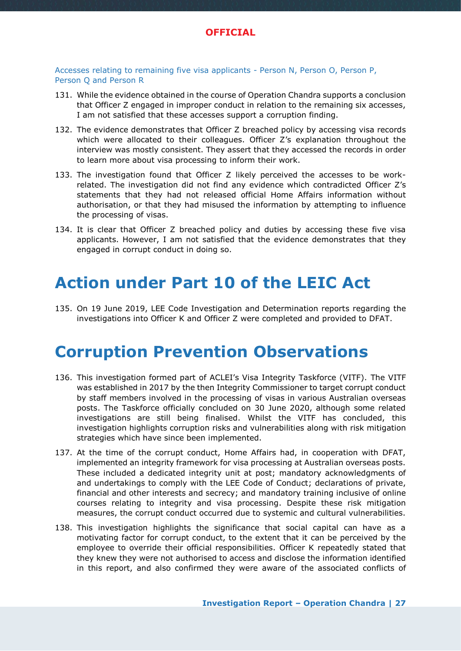

Accesses relating to remaining five visa applicants - Person N, Person O, Person P, Person Q and Person R

- 131. While the evidence obtained in the course of Operation Chandra supports a conclusion that Officer Z engaged in improper conduct in relation to the remaining six accesses, I am not satisfied that these accesses support a corruption finding.
- 132. The evidence demonstrates that Officer Z breached policy by accessing visa records which were allocated to their colleagues. Officer Z's explanation throughout the interview was mostly consistent. They assert that they accessed the records in order to learn more about visa processing to inform their work.
- 133. The investigation found that Officer Z likely perceived the accesses to be workrelated. The investigation did not find any evidence which contradicted Officer Z's statements that they had not released official Home Affairs information without authorisation, or that they had misused the information by attempting to influence the processing of visas.
- 134. It is clear that Officer Z breached policy and duties by accessing these five visa applicants. However, I am not satisfied that the evidence demonstrates that they engaged in corrupt conduct in doing so.

# <span id="page-26-0"></span>**Action under Part 10 of the LEIC Act**

135. On 19 June 2019, LEE Code Investigation and Determination reports regarding the investigations into Officer K and Officer Z were completed and provided to DFAT.

# <span id="page-26-1"></span>**Corruption Prevention Observations**

- 136. This investigation formed part of ACLEI's Visa Integrity Taskforce (VITF). The VITF was established in 2017 by the then Integrity Commissioner to target corrupt conduct by staff members involved in the processing of visas in various Australian overseas posts. The Taskforce officially concluded on 30 June 2020, although some related investigations are still being finalised. Whilst the VITF has concluded, this investigation highlights corruption risks and vulnerabilities along with risk mitigation strategies which have since been implemented.
- 137. At the time of the corrupt conduct, Home Affairs had, in cooperation with DFAT, implemented an integrity framework for visa processing at Australian overseas posts. These included a dedicated integrity unit at post; mandatory acknowledgments of and undertakings to comply with the LEE Code of Conduct; declarations of private, financial and other interests and secrecy; and mandatory training inclusive of online courses relating to integrity and visa processing. Despite these risk mitigation measures, the corrupt conduct occurred due to systemic and cultural vulnerabilities.
- 138. This investigation highlights the significance that social capital can have as a motivating factor for corrupt conduct, to the extent that it can be perceived by the employee to override their official responsibilities. Officer K repeatedly stated that they knew they were not authorised to access and disclose the information identified in this report, and also confirmed they were aware of the associated conflicts of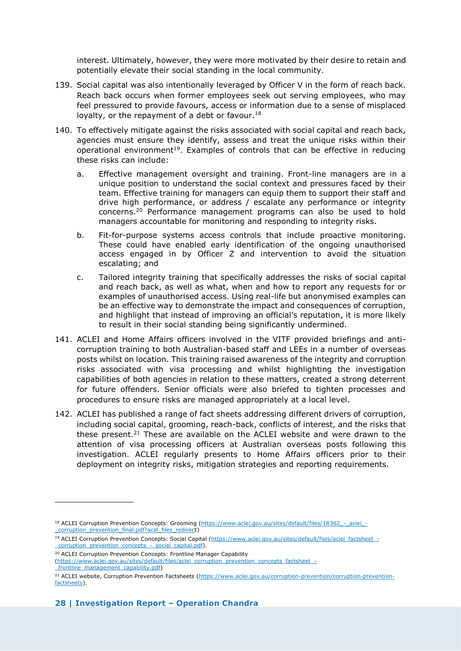interest. Ultimately, however, they were more motivated by their desire to retain and potentially elevate their social standing in the local community.

- 139. Social capital was also intentionally leveraged by Officer V in the form of reach back. Reach back occurs when former employees seek out serving employees, who may feel pressured to provide favours, access or information due to a sense of misplaced loyalty, or the repayment of a debt or favour.<sup>18</sup>
- 140. To effectively mitigate against the risks associated with social capital and reach back, agencies must ensure they identify, assess and treat the unique risks within their operational environment<sup>19</sup>. Examples of controls that can be effective in reducing these risks can include:
	- a. Effective management oversight and training. Front-line managers are in a unique position to understand the social context and pressures faced by their team. Effective training for managers can equip them to support their staff and drive high performance, or address / escalate any performance or integrity concerns.<sup>20</sup> Performance management programs can also be used to hold managers accountable for monitoring and responding to integrity risks.
	- b. Fit-for-purpose systems access controls that include proactive monitoring. These could have enabled early identification of the ongoing unauthorised access engaged in by Officer Z and intervention to avoid the situation escalating; and
	- c. Tailored integrity training that specifically addresses the risks of social capital and reach back, as well as what, when and how to report any requests for or examples of unauthorised access. Using real-life but anonymised examples can be an effective way to demonstrate the impact and consequences of corruption, and highlight that instead of improving an official's reputation, it is more likely to result in their social standing being significantly undermined.
- 141. ACLEI and Home Affairs officers involved in the VITF provided briefings and anticorruption training to both Australian-based staff and LEEs in a number of overseas posts whilst on location. This training raised awareness of the integrity and corruption risks associated with visa processing and whilst highlighting the investigation capabilities of both agencies in relation to these matters, created a strong deterrent for future offenders. Senior officials were also briefed to tighten processes and procedures to ensure risks are managed appropriately at a local level.
- 142. ACLEI has published a range of fact sheets addressing different drivers of corruption, including social capital, grooming, reach-back, conflicts of interest, and the risks that these present.<sup>21</sup> These are available on the ACLEI website and were drawn to the attention of visa processing officers at Australian overseas posts following this investigation. ACLEI regularly presents to Home Affairs officers prior to their deployment on integrity risks, mitigation strategies and reporting requirements.

<sup>20</sup> ACLEI Corruption Prevention Concepts: Frontline Manager Capability

\_\_\_\_\_\_\_\_\_\_\_\_\_\_\_\_

<sup>&</sup>lt;sup>18</sup> ACLEI Corruption Prevention Concepts: Grooming (https://www.aclei.gov.au/sites/default/files/18362 - aclei -\_corruption\_prevention\_final.pdf?acsf\_files\_redirect)

<sup>&</sup>lt;sup>19</sup> ACLEI Corruption Prevention Concepts: Social Capital (https://www.aclei.gov.au/sites/default/files/aclei\_factsheet\_-\_corruption\_prevention\_concepts\_-\_social\_capital.pdf).

<sup>(</sup>https://www.aclei.gov.au/sites/default/files/aclei\_corruption\_prevention\_concepts\_factsheet\_-

frontline\_management\_capability.pdf)

<sup>&</sup>lt;sup>21</sup> ACLEI website, Corruption Prevention Factsheets [\(https://www.aclei.gov.au/corruption-prevention/corruption-prevention](https://www.aclei.gov.au/corruption-prevention/corruption-prevention-factsheets)[factsheets\)](https://www.aclei.gov.au/corruption-prevention/corruption-prevention-factsheets).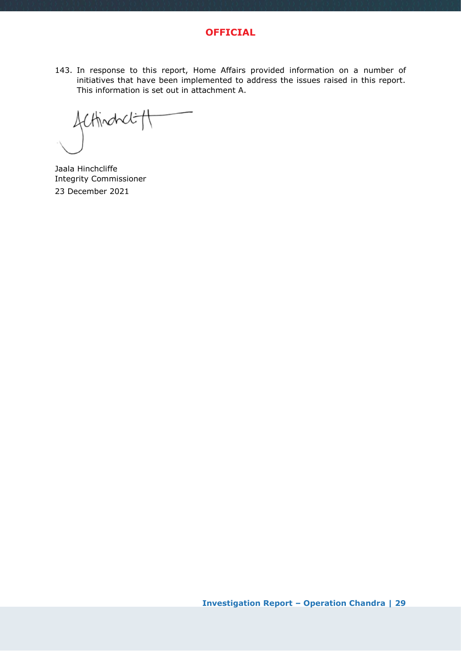

143. In response to this report, Home Affairs provided information on a number of initiatives that have been implemented to address the issues raised in this report. This information is set out in attachment A.

Acthodoct tt

Jaala Hinchcliffe Integrity Commissioner 23 December 2021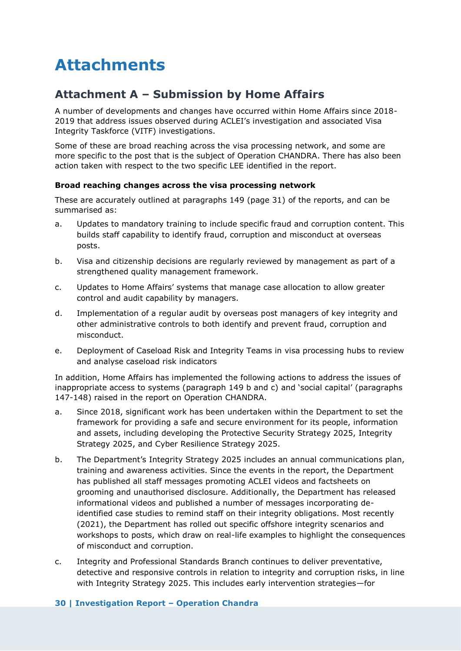# <span id="page-29-0"></span>**Attachments**

# <span id="page-29-1"></span>**Attachment A – Submission by Home Affairs**

A number of developments and changes have occurred within Home Affairs since 2018- 2019 that address issues observed during ACLEI's investigation and associated Visa Integrity Taskforce (VITF) investigations.

Some of these are broad reaching across the visa processing network, and some are more specific to the post that is the subject of Operation CHANDRA. There has also been action taken with respect to the two specific LEE identified in the report.

#### **Broad reaching changes across the visa processing network**

These are accurately outlined at paragraphs 149 (page 31) of the reports, and can be summarised as:

- a. Updates to mandatory training to include specific fraud and corruption content. This builds staff capability to identify fraud, corruption and misconduct at overseas posts.
- b. Visa and citizenship decisions are regularly reviewed by management as part of a strengthened quality management framework.
- c. Updates to Home Affairs' systems that manage case allocation to allow greater control and audit capability by managers.
- d. Implementation of a regular audit by overseas post managers of key integrity and other administrative controls to both identify and prevent fraud, corruption and misconduct.
- e. Deployment of Caseload Risk and Integrity Teams in visa processing hubs to review and analyse caseload risk indicators

In addition, Home Affairs has implemented the following actions to address the issues of inappropriate access to systems (paragraph 149 b and c) and 'social capital' (paragraphs 147-148) raised in the report on Operation CHANDRA.

- a. Since 2018, significant work has been undertaken within the Department to set the framework for providing a safe and secure environment for its people, information and assets, including developing the Protective Security Strategy 2025, Integrity Strategy 2025, and Cyber Resilience Strategy 2025.
- b. The Department's Integrity Strategy 2025 includes an annual communications plan, training and awareness activities. Since the events in the report, the Department has published all staff messages promoting ACLEI videos and factsheets on grooming and unauthorised disclosure. Additionally, the Department has released informational videos and published a number of messages incorporating deidentified case studies to remind staff on their integrity obligations. Most recently (2021), the Department has rolled out specific offshore integrity scenarios and workshops to posts, which draw on real-life examples to highlight the consequences of misconduct and corruption.
- c. Integrity and Professional Standards Branch continues to deliver preventative, detective and responsive controls in relation to integrity and corruption risks, in line with Integrity Strategy 2025. This includes early intervention strategies—for

#### **30 | Investigation Report – Operation Chandra**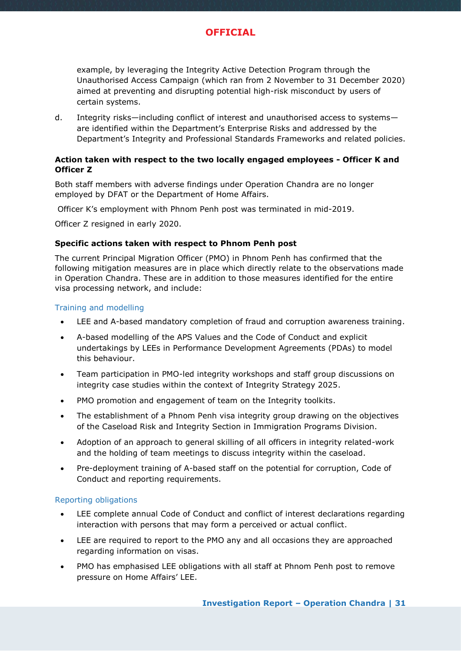

example, by leveraging the Integrity Active Detection Program through the Unauthorised Access Campaign (which ran from 2 November to 31 December 2020) aimed at preventing and disrupting potential high-risk misconduct by users of certain systems.

d. Integrity risks—including conflict of interest and unauthorised access to systems are identified within the Department's Enterprise Risks and addressed by the Department's Integrity and Professional Standards Frameworks and related policies.

#### **Action taken with respect to the two locally engaged employees - Officer K and Officer Z**

Both staff members with adverse findings under Operation Chandra are no longer employed by DFAT or the Department of Home Affairs.

Officer K's employment with Phnom Penh post was terminated in mid-2019.

Officer Z resigned in early 2020.

#### **Specific actions taken with respect to Phnom Penh post**

The current Principal Migration Officer (PMO) in Phnom Penh has confirmed that the following mitigation measures are in place which directly relate to the observations made in Operation Chandra. These are in addition to those measures identified for the entire visa processing network, and include:

#### Training and modelling

- LEE and A-based mandatory completion of fraud and corruption awareness training.
- A-based modelling of the APS Values and the Code of Conduct and explicit undertakings by LEEs in Performance Development Agreements (PDAs) to model this behaviour.
- Team participation in PMO-led integrity workshops and staff group discussions on integrity case studies within the context of Integrity Strategy 2025.
- PMO promotion and engagement of team on the Integrity toolkits.
- The establishment of a Phnom Penh visa integrity group drawing on the objectives of the Caseload Risk and Integrity Section in Immigration Programs Division.
- Adoption of an approach to general skilling of all officers in integrity related-work and the holding of team meetings to discuss integrity within the caseload.
- Pre-deployment training of A-based staff on the potential for corruption, Code of Conduct and reporting requirements.

#### Reporting obligations

- LEE complete annual Code of Conduct and conflict of interest declarations regarding interaction with persons that may form a perceived or actual conflict.
- LEE are required to report to the PMO any and all occasions they are approached regarding information on visas.
- PMO has emphasised LEE obligations with all staff at Phnom Penh post to remove pressure on Home Affairs' LEE.